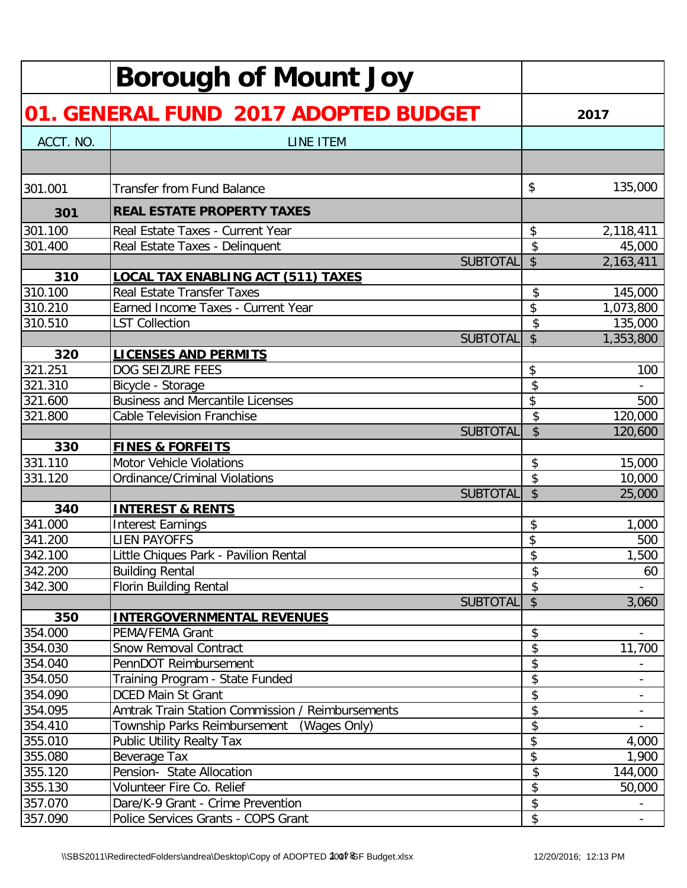|           | <b>Borough of Mount Joy</b>                      |                           |           |
|-----------|--------------------------------------------------|---------------------------|-----------|
|           | 01. GENERAL FUND 2017 ADOPTED BUDGET             |                           | 2017      |
| ACCT. NO. | <b>LINE ITEM</b>                                 |                           |           |
|           |                                                  |                           |           |
| 301.001   | <b>Transfer from Fund Balance</b>                | \$                        | 135,000   |
| 301       | <b>REAL ESTATE PROPERTY TAXES</b>                |                           |           |
| 301.100   | Real Estate Taxes - Current Year                 | \$                        | 2,118,411 |
| 301.400   | Real Estate Taxes - Delinquent                   | \$                        | 45,000    |
|           | <b>SUBTOTAL</b>                                  | \$                        | 2,163,411 |
| 310       | <u>LOCAL TAX ENABLING ACT (511) TAXES</u>        |                           |           |
| 310.100   | <b>Real Estate Transfer Taxes</b>                | \$                        | 145,000   |
| 310.210   | Earned Income Taxes - Current Year               | \$                        | 1,073,800 |
| 310.510   | <b>LST Collection</b>                            | \$                        | 135,000   |
|           | <b>SUBTOTAL</b>                                  | \$                        | 1,353,800 |
| 320       | <b>LICENSES AND PERMITS</b>                      |                           |           |
| 321.251   | DOG SEIZURE FEES                                 | \$                        | 100       |
| 321.310   | Bicycle - Storage                                | \$                        |           |
| 321.600   | <b>Business and Mercantile Licenses</b>          | \$                        | 500       |
| 321.800   | <b>Cable Television Franchise</b>                | \$                        | 120,000   |
|           | <b>SUBTOTAL</b>                                  | $\boldsymbol{\mathsf{S}}$ | 120,600   |
| 330       | <b>FINES &amp; FORFEITS</b>                      |                           |           |
| 331.110   | <b>Motor Vehicle Violations</b>                  | \$                        | 15,000    |
| 331.120   | <b>Ordinance/Criminal Violations</b>             | \$                        | 10,000    |
|           | <b>SUBTOTAL</b>                                  | $\mathsf{\$}$             | 25,000    |
| 340       | <b>INTEREST &amp; RENTS</b>                      |                           |           |
| 341.000   | <b>Interest Earnings</b>                         | \$                        | 1,000     |
| 341.200   | <b>LIEN PAYOFFS</b>                              | \$                        | 500       |
| 342.100   | Little Chiques Park - Pavilion Rental            | \$                        | 1,500     |
| 342.200   | <b>Building Rental</b>                           | \$                        | 60        |
| 342.300   | <b>Florin Building Rental</b>                    | \$                        |           |
|           | <b>SUBTOTAL</b>                                  | $\boldsymbol{\mathsf{S}}$ | 3,060     |
| 350       | <b>INTERGOVERNMENTAL REVENUES</b>                |                           |           |
| 354.000   | PEMA/FEMA Grant                                  | \$                        |           |
| 354.030   | <b>Snow Removal Contract</b>                     | \$                        | 11,700    |
| 354.040   | PennDOT Reimbursement                            | \$                        |           |
| 354.050   | Training Program - State Funded                  | \$                        |           |
| 354.090   | <b>DCED Main St Grant</b>                        | \$                        |           |
| 354.095   | Amtrak Train Station Commission / Reimbursements | \$                        |           |
| 354.410   | Township Parks Reimbursement<br>(Wages Only)     | \$                        |           |
| 355.010   | Public Utility Realty Tax                        | \$                        | 4,000     |
| 355.080   | Beverage Tax                                     | \$                        | 1,900     |
| 355.120   | Pension- State Allocation                        | \$                        | 144,000   |
| 355.130   | Volunteer Fire Co. Relief                        | \$                        | 50,000    |
| 357.070   | Dare/K-9 Grant - Crime Prevention                | \$                        |           |
| 357.090   | Police Services Grants - COPS Grant              | \$                        |           |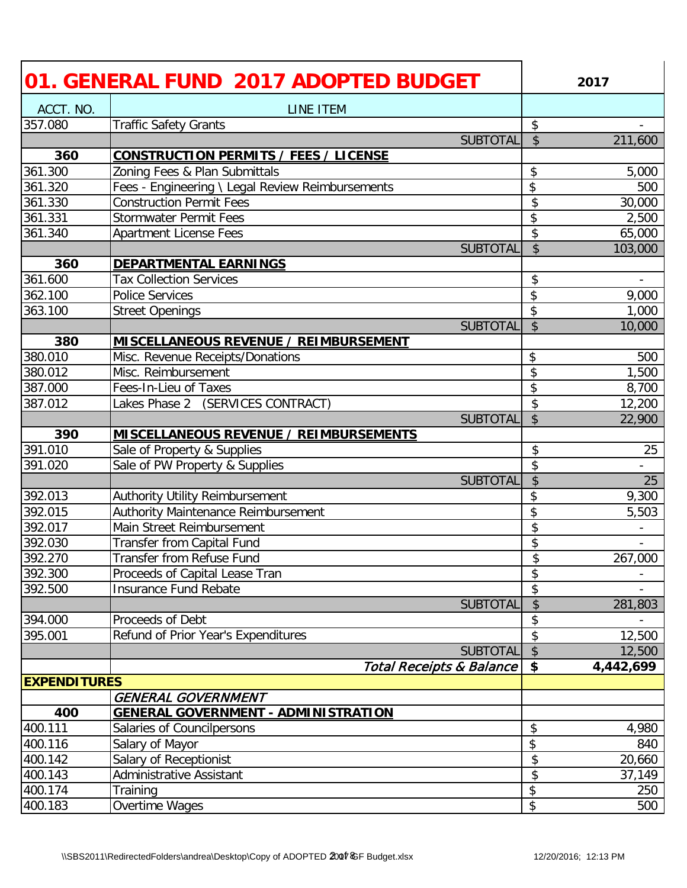|                     | 01. GENERAL FUND 2017 ADOPTED BUDGET             |                           | 2017                     |
|---------------------|--------------------------------------------------|---------------------------|--------------------------|
| ACCT. NO.           | LINE ITEM                                        |                           |                          |
| 357.080             | <b>Traffic Safety Grants</b>                     | \$                        |                          |
|                     | <b>SUBTOTAL</b>                                  | $\boldsymbol{\mathsf{S}}$ | 211,600                  |
| 360                 | <b>CONSTRUCTION PERMITS / FEES / LICENSE</b>     |                           |                          |
| 361.300             | Zoning Fees & Plan Submittals                    | \$                        | 5,000                    |
| 361.320             | Fees - Engineering \ Legal Review Reimbursements | \$                        | 500                      |
| 361.330             | <b>Construction Permit Fees</b>                  | \$                        | 30,000                   |
| 361.331             | <b>Stormwater Permit Fees</b>                    | \$                        | 2,500                    |
| 361.340             | <b>Apartment License Fees</b>                    | \$                        | 65,000                   |
|                     | <b>SUBTOTAL</b>                                  | $\sqrt{2}$                | 103,000                  |
| 360                 | <b>DEPARTMENTAL EARNINGS</b>                     |                           |                          |
| 361.600             | <b>Tax Collection Services</b>                   | \$                        | $\overline{\phantom{a}}$ |
| 362.100             | <b>Police Services</b>                           | \$                        | 9,000                    |
| 363.100             | <b>Street Openings</b>                           | \$                        | 1,000                    |
|                     | <b>SUBTOTAL</b>                                  | \$                        | 10,000                   |
| 380                 | <b>MISCELLANEOUS REVENUE / REIMBURSEMENT</b>     |                           |                          |
| 380.010             | Misc. Revenue Receipts/Donations                 | \$                        | 500                      |
| 380.012             | Misc. Reimbursement                              | \$                        | 1,500                    |
| 387.000             | Fees-In-Lieu of Taxes                            | \$                        | 8,700                    |
| 387.012             | Lakes Phase 2 (SERVICES CONTRACT)                | \$                        | 12,200                   |
|                     | <b>SUBTOTAL</b>                                  | $\overline{\mathcal{S}}$  | 22,900                   |
| 390                 | <b>MISCELLANEOUS REVENUE / REIMBURSEMENTS</b>    |                           |                          |
| 391.010             | Sale of Property & Supplies                      | \$                        | 25                       |
| 391.020             | Sale of PW Property & Supplies                   | \$                        |                          |
|                     | <b>SUBTOTAL</b>                                  | \$                        | 25                       |
| 392.013             | Authority Utility Reimbursement                  | \$                        | 9,300                    |
| 392.015             | Authority Maintenance Reimbursement              | \$                        | 5,503                    |
| 392.017             | Main Street Reimbursement                        | \$                        |                          |
| 392.030             | Transfer from Capital Fund                       | \$                        |                          |
| 392.270             | <b>Transfer from Refuse Fund</b>                 | \$                        | 267,000                  |
| 392.300             | Proceeds of Capital Lease Tran                   | \$                        |                          |
| 392.500             | <b>Insurance Fund Rebate</b>                     | \$                        |                          |
|                     | <b>SUBTOTAL</b>                                  | $\boldsymbol{\mathsf{S}}$ | 281,803                  |
| 394.000             | Proceeds of Debt                                 | \$                        |                          |
| 395.001             | Refund of Prior Year's Expenditures              | \$                        | 12,500                   |
|                     | <b>SUBTOTAL</b>                                  | $\sqrt$                   | 12,500                   |
|                     | <b>Total Receipts &amp; Balance</b>              | \$                        | 4,442,699                |
| <b>EXPENDITURES</b> |                                                  |                           |                          |
|                     | <b>GENERAL GOVERNMENT</b>                        |                           |                          |
| 400                 | <b>GENERAL GOVERNMENT - ADMINISTRATION</b>       |                           |                          |
| 400.111             | Salaries of Councilpersons                       | \$                        | 4,980                    |
| 400.116             | Salary of Mayor                                  | \$                        | 840                      |
| 400.142             | Salary of Receptionist                           | \$                        | 20,660                   |
| 400.143             | Administrative Assistant                         | \$                        | 37,149                   |
| 400.174             | Training                                         | \$                        | 250                      |
| 400.183             | Overtime Wages                                   | \$                        | 500                      |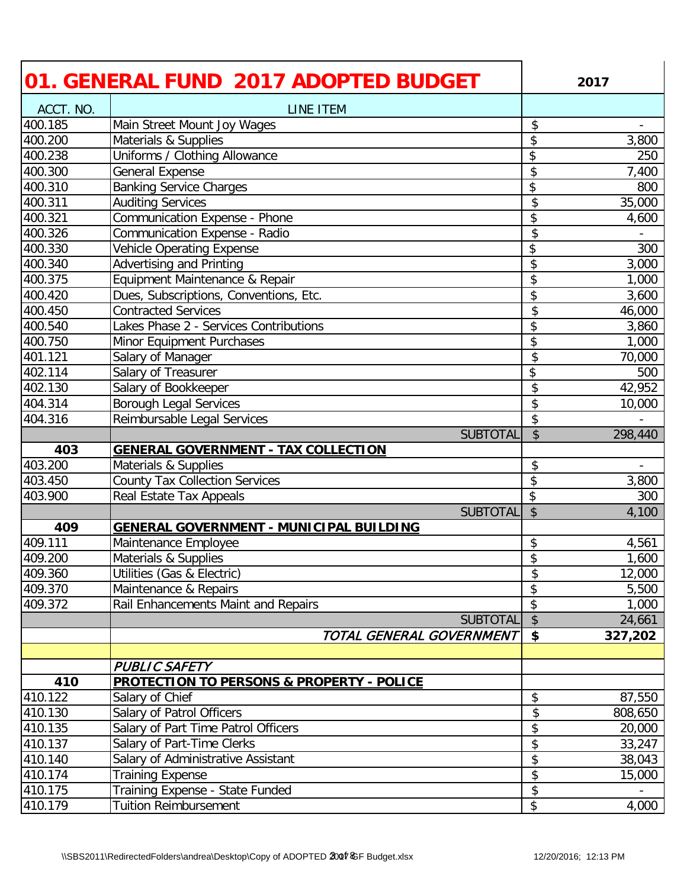|           | 01. GENERAL FUND 2017 ADOPTED BUDGET                 |                           | 2017    |
|-----------|------------------------------------------------------|---------------------------|---------|
| ACCT. NO. | LINE ITEM                                            |                           |         |
| 400.185   | Main Street Mount Joy Wages                          | \$                        |         |
| 400.200   | Materials & Supplies                                 | \$                        | 3,800   |
| 400.238   | Uniforms / Clothing Allowance                        | \$                        | 250     |
| 400.300   | General Expense                                      | \$                        | 7,400   |
| 400.310   | <b>Banking Service Charges</b>                       | \$                        | 800     |
| 400.311   | <b>Auditing Services</b>                             | \$                        | 35,000  |
| 400.321   | Communication Expense - Phone                        | \$                        | 4,600   |
| 400.326   | Communication Expense - Radio                        | \$                        |         |
| 400.330   | <b>Vehicle Operating Expense</b>                     | \$                        | 300     |
| 400.340   | <b>Advertising and Printing</b>                      | \$                        | 3,000   |
| 400.375   | Equipment Maintenance & Repair                       | \$                        | 1,000   |
| 400.420   | Dues, Subscriptions, Conventions, Etc.               | \$                        | 3,600   |
| 400.450   | <b>Contracted Services</b>                           | \$                        | 46,000  |
| 400.540   | Lakes Phase 2 - Services Contributions               | \$                        | 3,860   |
| 400.750   | Minor Equipment Purchases                            | \$                        | 1,000   |
| 401.121   | Salary of Manager                                    | \$                        | 70,000  |
| 402.114   | Salary of Treasurer                                  | \$                        | 500     |
| 402.130   | Salary of Bookkeeper                                 | \$                        | 42,952  |
| 404.314   | Borough Legal Services                               | \$                        | 10,000  |
| 404.316   | Reimbursable Legal Services                          | \$                        |         |
|           | <b>SUBTOTAL</b>                                      | $\boldsymbol{\mathsf{S}}$ | 298,440 |
| 403       | <b>GENERAL GOVERNMENT - TAX COLLECTION</b>           |                           |         |
| 403.200   | Materials & Supplies                                 | \$                        |         |
| 403.450   | <b>County Tax Collection Services</b>                | \$                        | 3,800   |
| 403.900   | Real Estate Tax Appeals                              | \$                        | 300     |
|           | <b>SUBTOTAL</b>                                      | $\boldsymbol{\mathsf{S}}$ | 4,100   |
| 409       | <b>GENERAL GOVERNMENT - MUNICIPAL BUILDING</b>       |                           |         |
| 409.111   | Maintenance Employee                                 | \$                        | 4,561   |
| 409.200   | Materials & Supplies                                 | \$                        | 1,600   |
| 409.360   | Utilities (Gas & Electric)                           | \$                        | 12,000  |
| 409.370   | Maintenance & Repairs                                | \$                        | 5,500   |
| 409.372   | Rail Enhancements Maint and Repairs                  | \$                        | 1,000   |
|           | <b>SUBTOTAL</b>                                      | $\sqrt{2}$                | 24,661  |
|           | TOTAL GENERAL GOVERNMENT                             | $\boldsymbol{\mathsf{s}}$ | 327,202 |
|           |                                                      |                           |         |
|           | <b>PUBLIC SAFETY</b>                                 |                           |         |
| 410       | <b>PROTECTION TO PERSONS &amp; PROPERTY - POLICE</b> |                           |         |
| 410.122   | Salary of Chief                                      | \$                        | 87,550  |
| 410.130   | Salary of Patrol Officers                            | \$                        | 808,650 |
| 410.135   | Salary of Part Time Patrol Officers                  | \$                        | 20,000  |
| 410.137   | Salary of Part-Time Clerks                           | \$                        | 33,247  |
| 410.140   | Salary of Administrative Assistant                   | \$                        | 38,043  |
| 410.174   | <b>Training Expense</b>                              | \$                        | 15,000  |
| 410.175   | Training Expense - State Funded                      | \$                        |         |
| 410.179   | <b>Tuition Reimbursement</b>                         | \$                        | 4,000   |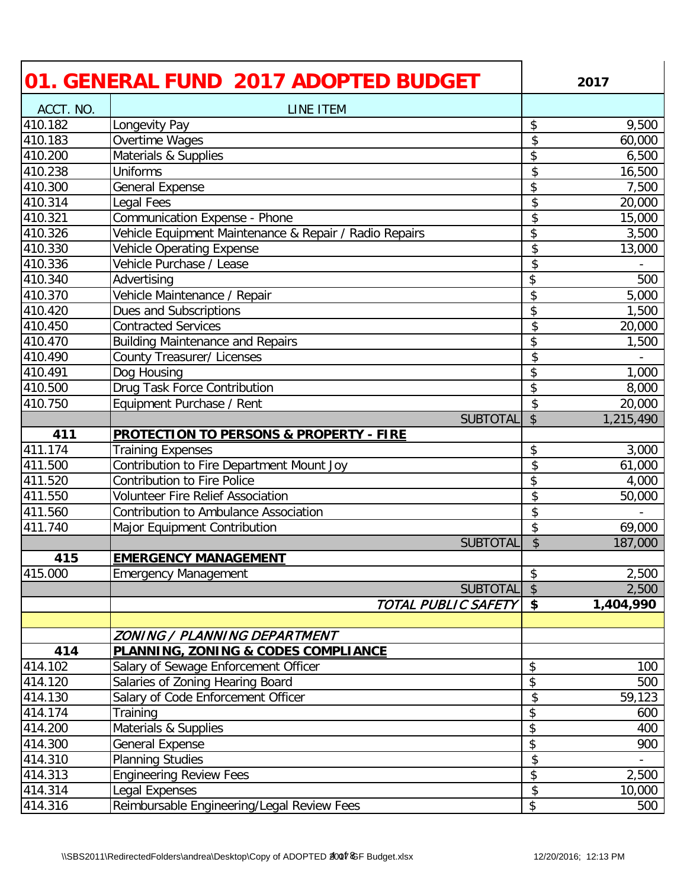|           | 01. GENERAL FUND 2017 ADOPTED BUDGET                   |                            | 2017      |
|-----------|--------------------------------------------------------|----------------------------|-----------|
| ACCT. NO. | LINE ITEM                                              |                            |           |
| 410.182   | Longevity Pay                                          | \$                         | 9,500     |
| 410.183   | Overtime Wages                                         | \$                         | 60,000    |
| 410.200   | Materials & Supplies                                   | \$                         | 6,500     |
| 410.238   | Uniforms                                               | \$                         | 16,500    |
| 410.300   | General Expense                                        | \$                         | 7,500     |
| 410.314   | <b>Legal Fees</b>                                      | \$                         | 20,000    |
| 410.321   | Communication Expense - Phone                          | \$                         | 15,000    |
| 410.326   | Vehicle Equipment Maintenance & Repair / Radio Repairs | \$                         | 3,500     |
| 410.330   | Vehicle Operating Expense                              | \$                         | 13,000    |
| 410.336   | Vehicle Purchase / Lease                               | $\overline{\mathcal{L}}$   |           |
| 410.340   | Advertising                                            | \$                         | 500       |
| 410.370   | Vehicle Maintenance / Repair                           | \$                         | 5,000     |
| 410.420   | Dues and Subscriptions                                 | \$                         | 1,500     |
| 410.450   | <b>Contracted Services</b>                             | \$                         | 20,000    |
| 410.470   | <b>Building Maintenance and Repairs</b>                | \$                         | 1,500     |
| 410.490   | <b>County Treasurer/ Licenses</b>                      | \$                         |           |
| 410.491   | Dog Housing                                            | \$                         | 1,000     |
| 410.500   | Drug Task Force Contribution                           | \$                         | 8,000     |
| 410.750   | Equipment Purchase / Rent                              | \$                         | 20,000    |
|           | <b>SUBTOTAL</b>                                        | $\overline{\$}$            | 1,215,490 |
| 411       | <b>PROTECTION TO PERSONS &amp; PROPERTY - FIRE</b>     |                            |           |
| 411.174   | <b>Training Expenses</b>                               | \$                         | 3,000     |
| 411.500   | Contribution to Fire Department Mount Joy              | \$                         | 61,000    |
| 411.520   | <b>Contribution to Fire Police</b>                     | \$                         | 4,000     |
| 411.550   | <b>Volunteer Fire Relief Association</b>               | \$                         | 50,000    |
| 411.560   | <b>Contribution to Ambulance Association</b>           | \$                         |           |
| 411.740   | Major Equipment Contribution                           | \$                         | 69,000    |
|           | <b>SUBTOTAL</b>                                        | \$                         | 187,000   |
| 415       | <b>EMERGENCY MANAGEMENT</b>                            |                            |           |
| 415.000   | <b>Emergency Management</b>                            | $\boldsymbol{\mathsf{\$}}$ | 2,500     |
|           | <b>SUBTOTAL</b>                                        | $\frac{1}{2}$              | 2,500     |
|           | TOTAL PUBLIC SAFETY                                    | $\boldsymbol{\mathsf{s}}$  | 1,404,990 |
|           |                                                        |                            |           |
|           | ZONING / PLANNING DEPARTMENT                           |                            |           |
| 414       | PLANNING, ZONING & CODES COMPLIANCE                    |                            |           |
| 414.102   | Salary of Sewage Enforcement Officer                   | \$                         | 100       |
| 414.120   | Salaries of Zoning Hearing Board                       | \$                         | 500       |
| 414.130   | Salary of Code Enforcement Officer                     | \$                         | 59,123    |
| 414.174   | Training                                               | \$                         | 600       |
| 414.200   | Materials & Supplies                                   | \$                         | 400       |
| 414.300   | General Expense                                        | \$                         | 900       |
| 414.310   | <b>Planning Studies</b>                                | \$                         |           |
| 414.313   | <b>Engineering Review Fees</b>                         | \$                         | 2,500     |
| 414.314   | Legal Expenses                                         | \$                         | 10,000    |
| 414.316   | Reimbursable Engineering/Legal Review Fees             | \$                         | 500       |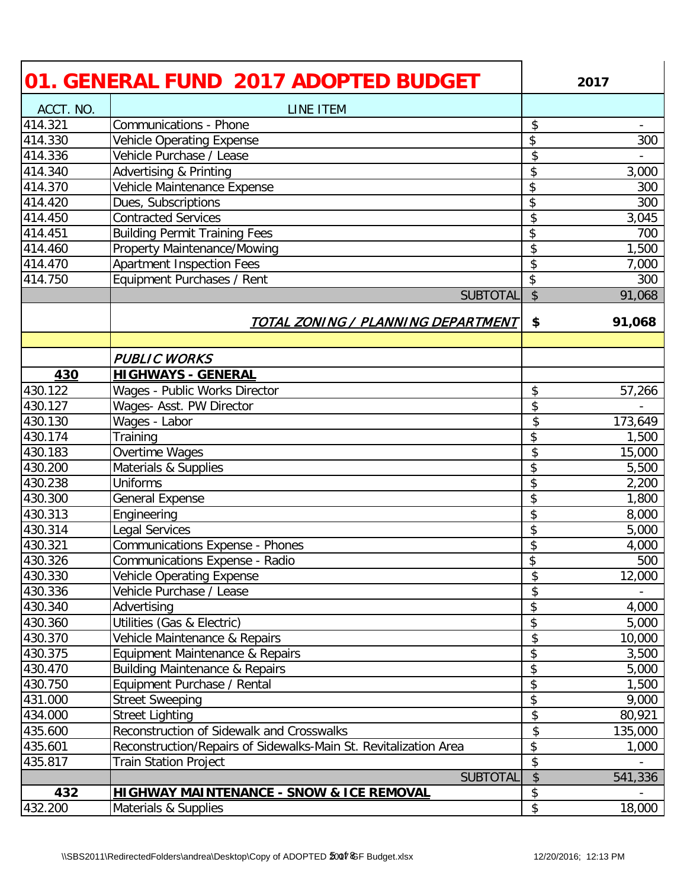|           | 01. GENERAL FUND 2017 ADOPTED BUDGET                             |               | 2017    |
|-----------|------------------------------------------------------------------|---------------|---------|
| ACCT. NO. | LINE ITEM                                                        |               |         |
| 414.321   | <b>Communications - Phone</b>                                    | \$            |         |
| 414.330   | Vehicle Operating Expense                                        | \$            | 300     |
| 414.336   | Vehicle Purchase / Lease                                         | \$            |         |
| 414.340   | Advertising & Printing                                           | \$            | 3,000   |
| 414.370   | Vehicle Maintenance Expense                                      | \$            | 300     |
| 414.420   | Dues, Subscriptions                                              | \$            | 300     |
| 414.450   | <b>Contracted Services</b>                                       | \$            | 3,045   |
| 414.451   | <b>Building Permit Training Fees</b>                             | \$            | 700     |
| 414.460   | <b>Property Maintenance/Mowing</b>                               | \$            | 1,500   |
| 414.470   | <b>Apartment Inspection Fees</b>                                 | \$            | 7,000   |
| 414.750   | Equipment Purchases / Rent                                       | \$            | 300     |
|           | <b>SUBTOTAL</b>                                                  | $\frac{1}{2}$ | 91,068  |
|           | <u>TOTAL ZONING / PLANNING DEPARTMENT</u>                        | \$            | 91,068  |
|           |                                                                  |               |         |
|           | <b>PUBLIC WORKS</b>                                              |               |         |
| 430       | <b>HIGHWAYS - GENERAL</b>                                        |               |         |
| 430.122   | Wages - Public Works Director                                    | \$            | 57,266  |
| 430.127   | Wages- Asst. PW Director                                         | \$            |         |
| 430.130   | Wages - Labor                                                    | \$            | 173,649 |
| 430.174   | Training                                                         | \$            | 1,500   |
| 430.183   | Overtime Wages                                                   | \$            | 15,000  |
| 430.200   | Materials & Supplies                                             | \$            | 5,500   |
| 430.238   | <b>Uniforms</b>                                                  | \$            | 2,200   |
| 430.300   | <b>General Expense</b>                                           | \$            | 1,800   |
| 430.313   | Engineering                                                      | \$            | 8,000   |
| 430.314   | Legal Services                                                   | \$            | 5,000   |
| 430.321   | <b>Communications Expense - Phones</b>                           | \$            | 4,000   |
| 430.326   | <b>Communications Expense - Radio</b>                            | \$            | 500     |
| 430.330   | <b>Vehicle Operating Expense</b>                                 | \$            | 12,000  |
| 430.336   | Vehicle Purchase / Lease                                         | \$            |         |
| 430.340   | Advertising                                                      | \$            | 4,000   |
| 430.360   | Utilities (Gas & Electric)                                       | \$            | 5,000   |
| 430.370   | Vehicle Maintenance & Repairs                                    | \$            | 10,000  |
| 430.375   | Equipment Maintenance & Repairs                                  | \$            | 3,500   |
| 430.470   | <b>Building Maintenance &amp; Repairs</b>                        | \$            | 5,000   |
| 430.750   | Equipment Purchase / Rental                                      | \$            | 1,500   |
| 431.000   | <b>Street Sweeping</b>                                           | \$            | 9,000   |
| 434.000   | <b>Street Lighting</b>                                           | \$            | 80,921  |
| 435.600   | Reconstruction of Sidewalk and Crosswalks                        | \$            | 135,000 |
| 435.601   | Reconstruction/Repairs of Sidewalks-Main St. Revitalization Area | \$            | 1,000   |
| 435.817   | <b>Train Station Project</b>                                     | \$            |         |
|           | <b>SUBTOTAL</b>                                                  | \$            | 541,336 |
| 432       | <b>HIGHWAY MAINTENANCE - SNOW &amp; ICE REMOVAL</b>              | \$            |         |
| 432.200   | Materials & Supplies                                             | \$            | 18,000  |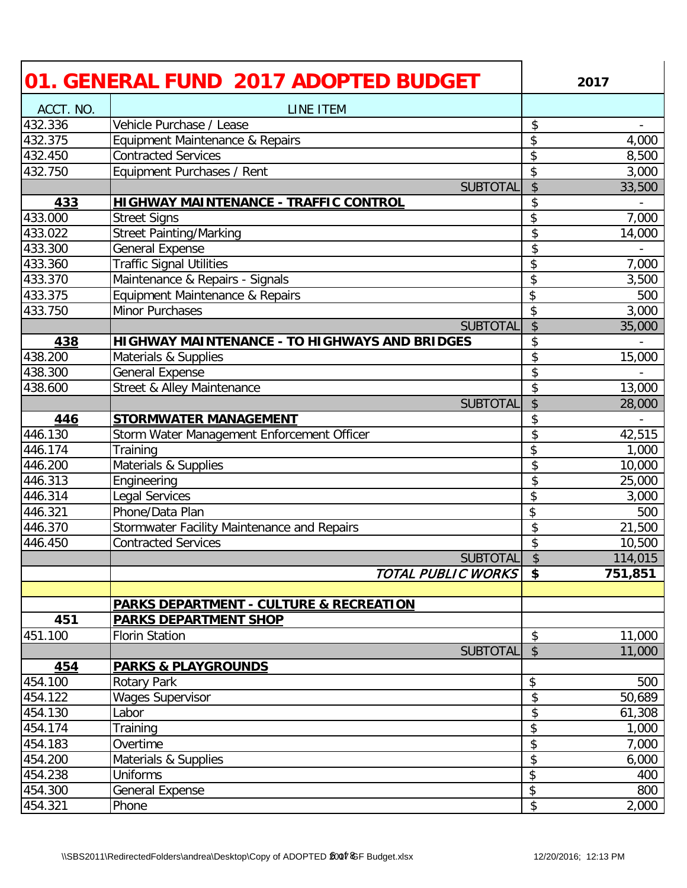|           | 01. GENERAL FUND 2017 ADOPTED BUDGET                 |               | 2017                     |
|-----------|------------------------------------------------------|---------------|--------------------------|
| ACCT. NO. | <b>LINE ITEM</b>                                     |               |                          |
| 432.336   | Vehicle Purchase / Lease                             | \$            | $\overline{\phantom{a}}$ |
| 432.375   | Equipment Maintenance & Repairs                      | \$            | 4,000                    |
| 432.450   | <b>Contracted Services</b>                           | \$            | 8,500                    |
| 432.750   | Equipment Purchases / Rent                           | \$            | 3,000                    |
|           | <b>SUBTOTAL</b>                                      | $\frac{1}{2}$ | 33,500                   |
| 433       | <b>HIGHWAY MAINTENANCE - TRAFFIC CONTROL</b>         | \$            |                          |
| 433.000   | <b>Street Signs</b>                                  | \$            | 7,000                    |
| 433.022   | <b>Street Painting/Marking</b>                       | \$            | 14,000                   |
| 433.300   | <b>General Expense</b>                               | \$            |                          |
| 433.360   | <b>Traffic Signal Utilities</b>                      | \$            | 7,000                    |
| 433.370   | Maintenance & Repairs - Signals                      | \$            | 3,500                    |
| 433.375   | Equipment Maintenance & Repairs                      | \$            | 500                      |
| 433.750   | Minor Purchases                                      | \$            | 3,000                    |
|           | <b>SUBTOTAL</b>                                      | $\frac{1}{2}$ | 35,000                   |
| 438       | <b>HIGHWAY MAINTENANCE - TO HIGHWAYS AND BRIDGES</b> | \$            |                          |
| 438.200   | Materials & Supplies                                 | \$            | 15,000                   |
| 438.300   | <b>General Expense</b>                               | \$            |                          |
| 438.600   | Street & Alley Maintenance                           | \$            | 13,000                   |
|           | <b>SUBTOTAL</b>                                      | \$            | 28,000                   |
| 446       | <b>STORMWATER MANAGEMENT</b>                         | \$            |                          |
| 446.130   | Storm Water Management Enforcement Officer           | \$            | 42,515                   |
| 446.174   | Training                                             | \$            | 1,000                    |
| 446.200   | Materials & Supplies                                 | \$            | 10,000                   |
| 446.313   | Engineering                                          | \$            | 25,000                   |
| 446.314   | Legal Services                                       | \$            | 3,000                    |
| 446.321   | Phone/Data Plan                                      | \$            | 500                      |
| 446.370   | Stormwater Facility Maintenance and Repairs          | \$            | 21,500                   |
| 446.450   | <b>Contracted Services</b>                           | \$            | 10,500                   |
|           | <b>SUBTOTAL</b>                                      | \$            | 114,015                  |
|           | TOTAL PUBLIC WORKS                                   | $\sqrt{5}$    | 751,851                  |
|           |                                                      |               |                          |
|           | <b>PARKS DEPARTMENT - CULTURE &amp; RECREATION</b>   |               |                          |
| 451       | <b>PARKS DEPARTMENT SHOP</b>                         |               |                          |
| 451.100   | <b>Florin Station</b>                                | \$            | 11,000                   |
|           | <b>SUBTOTAL</b>                                      | $\sqrt{2}$    | 11,000                   |
| 454       | <b>PARKS &amp; PLAYGROUNDS</b>                       |               |                          |
| 454.100   | Rotary Park                                          | \$            | 500                      |
| 454.122   | <b>Wages Supervisor</b>                              | \$            | 50,689                   |
| 454.130   | Labor                                                | \$            | 61,308                   |
| 454.174   | Training                                             | \$            | 1,000                    |
| 454.183   | Overtime                                             | \$            | 7,000                    |
| 454.200   | Materials & Supplies                                 | \$            | 6,000                    |
| 454.238   | <b>Uniforms</b>                                      | \$            | 400                      |
| 454.300   | <b>General Expense</b>                               | \$            | 800                      |
| 454.321   | Phone                                                | \$            | 2,000                    |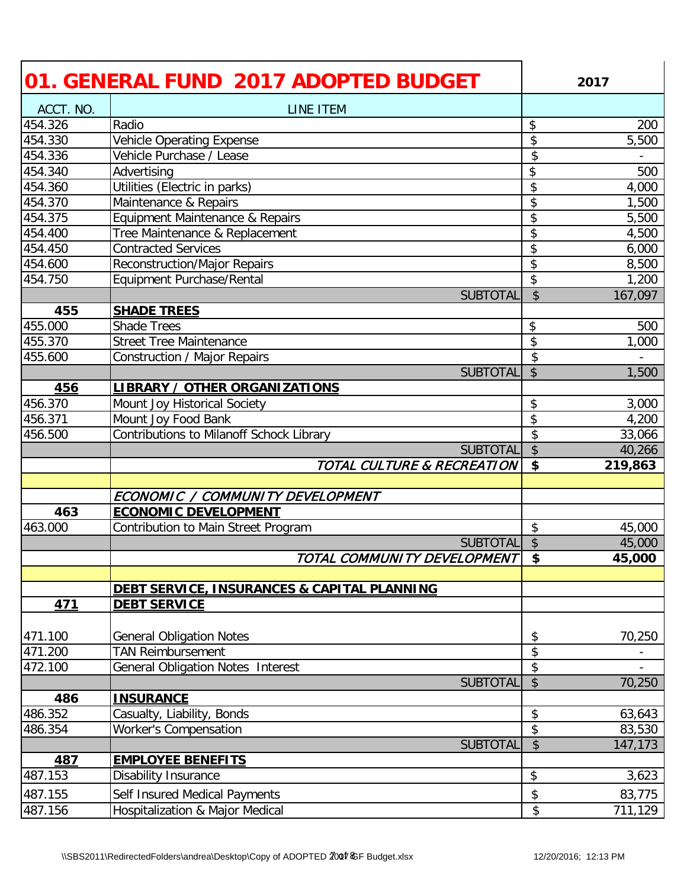|                    | 01. GENERAL FUND 2017 ADOPTED BUDGET                             | 2017                                            |
|--------------------|------------------------------------------------------------------|-------------------------------------------------|
| ACCT. NO.          | LINE ITEM                                                        |                                                 |
| 454.326            | Radio                                                            | \$<br>200                                       |
| 454.330            | Vehicle Operating Expense                                        | 5,500<br>\$                                     |
| 454.336            | Vehicle Purchase / Lease                                         | \$                                              |
| 454.340            | Advertising                                                      | \$<br>500                                       |
| 454.360            | Utilities (Electric in parks)                                    | \$<br>4,000                                     |
| 454.370            | Maintenance & Repairs                                            | \$<br>1,500                                     |
| 454.375            | Equipment Maintenance & Repairs                                  | \$<br>5,500                                     |
| 454.400            | Tree Maintenance & Replacement                                   | \$<br>4,500                                     |
| 454.450            | <b>Contracted Services</b>                                       | \$<br>6,000                                     |
| 454.600            | <b>Reconstruction/Major Repairs</b>                              | $\overline{\boldsymbol{\mathfrak{s}}}$<br>8,500 |
| 454.750            | Equipment Purchase/Rental                                        | \$<br>1,200                                     |
|                    | <b>SUBTOTAL</b>                                                  | \$<br>167,097                                   |
| 455                | <b>SHADE TREES</b>                                               |                                                 |
| 455.000            | <b>Shade Trees</b>                                               | \$<br>500                                       |
| 455.370            | <b>Street Tree Maintenance</b>                                   | \$<br>$\overline{1,000}$                        |
| 455.600            | Construction / Major Repairs                                     | \$                                              |
|                    | <b>SUBTOTAL</b>                                                  | \$<br>1,500                                     |
| 456                | <b>LIBRARY / OTHER ORGANIZATIONS</b>                             |                                                 |
| 456.370            | Mount Joy Historical Society                                     | \$<br>3,000                                     |
| 456.371            | Mount Joy Food Bank                                              | $\overline{\boldsymbol{\mathfrak{s}}}$<br>4,200 |
| 456.500            | Contributions to Milanoff Schock Library                         | \$<br>33,066                                    |
|                    | <b>SUBTOTAL</b>                                                  | \$<br>40,266                                    |
|                    |                                                                  |                                                 |
|                    | TOTAL CULTURE & RECREATION                                       | \$<br>219,863                                   |
|                    |                                                                  |                                                 |
|                    | ECONOMIC / COMMUNITY DEVELOPMENT                                 |                                                 |
| 463                | <b>ECONOMIC DEVELOPMENT</b>                                      |                                                 |
| 463.000            | Contribution to Main Street Program                              | \$<br>45,000                                    |
|                    | <b>SUBTOTAL</b>                                                  | \$<br>45,000                                    |
|                    | TOTAL COMMUNITY DEVELOPMENT                                      | $\boldsymbol{\mathsf{s}}$<br>45,000             |
|                    | DEBT SERVICE, INSURANCES & CAPITAL PLANNING                      |                                                 |
| 471                | <b>DEBT SERVICE</b>                                              |                                                 |
|                    |                                                                  |                                                 |
| 471.100            | <b>General Obligation Notes</b>                                  | 70,250<br>\$                                    |
| 471.200            | <b>TAN Reimbursement</b>                                         | \$                                              |
| 472.100            | General Obligation Notes Interest                                | \$                                              |
|                    | <b>SUBTOTAL</b>                                                  | $\boldsymbol{\mathsf{S}}$<br>70,250             |
| 486                | <b>INSURANCE</b>                                                 |                                                 |
| 486.352            | Casualty, Liability, Bonds                                       | \$<br>63,643                                    |
| 486.354            | <b>Worker's Compensation</b>                                     | \$<br>83,530                                    |
|                    | <b>SUBTOTAL</b>                                                  | $\boldsymbol{\mathsf{S}}$<br>147,173            |
| 487                | <b>EMPLOYEE BENEFITS</b>                                         |                                                 |
| 487.153            | Disability Insurance                                             | \$<br>3,623                                     |
| 487.155<br>487.156 | Self Insured Medical Payments<br>Hospitalization & Major Medical | \$<br>83,775<br>\$<br>711,129                   |